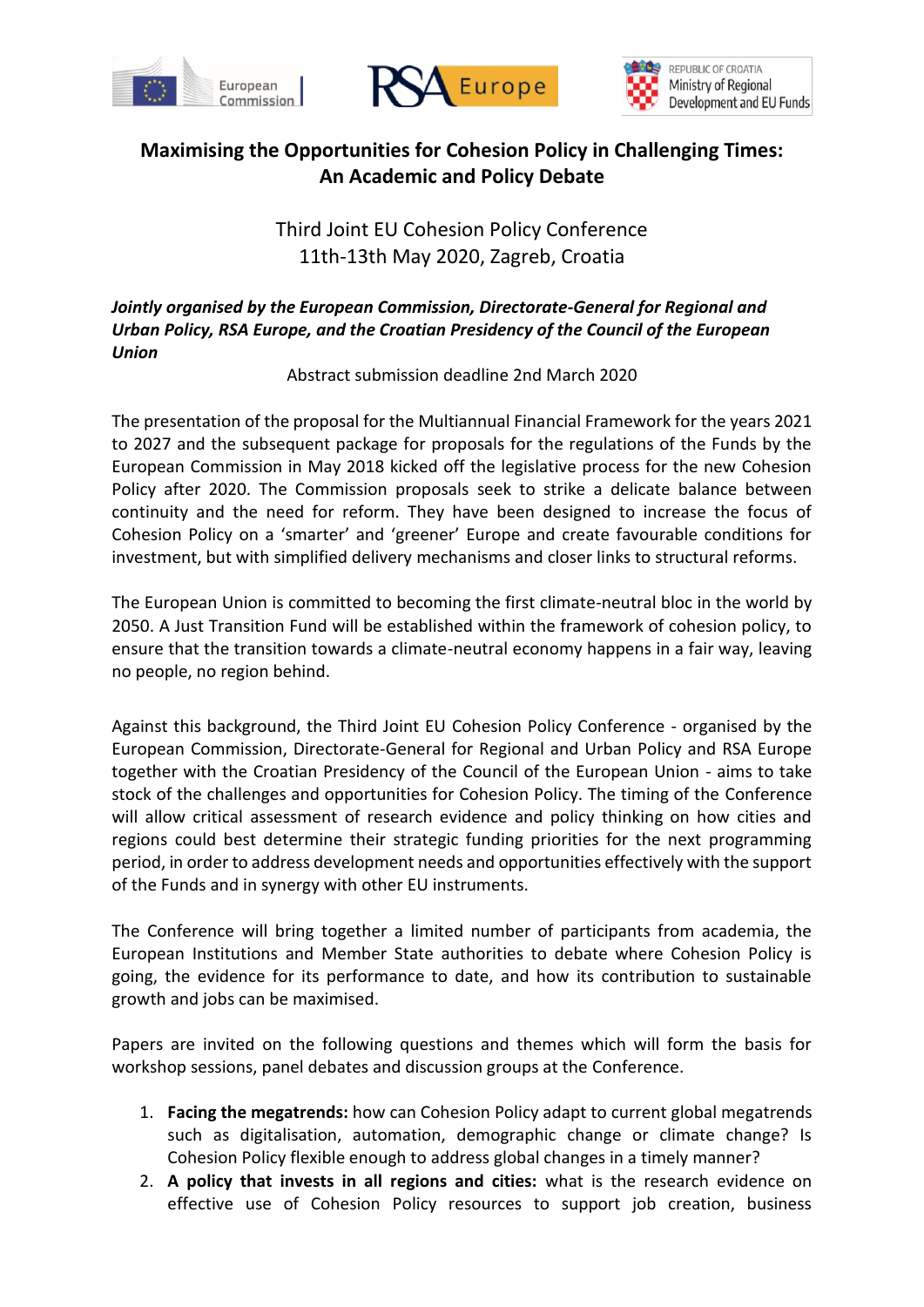





## **Maximising the Opportunities for Cohesion Policy in Challenging Times: An Academic and Policy Debate**

Third Joint EU Cohesion Policy Conference 11th-13th May 2020, Zagreb, Croatia

## *Jointly organised by the European Commission, Directorate-General for Regional and Urban Policy, RSA Europe, and the Croatian Presidency of the Council of the European Union*

Abstract submission deadline 2nd March 2020

The presentation of the proposal for the Multiannual Financial Framework for the years 2021 to 2027 and the subsequent package for proposals for the regulations of the Funds by the European Commission in May 2018 kicked off the legislative process for the new Cohesion Policy after 2020. The Commission proposals seek to strike a delicate balance between continuity and the need for reform. They have been designed to increase the focus of Cohesion Policy on a 'smarter' and 'greener' Europe and create favourable conditions for investment, but with simplified delivery mechanisms and closer links to structural reforms.

The European Union is committed to becoming the first climate-neutral bloc in the world by 2050. A Just Transition Fund will be established within the framework of cohesion policy, to ensure that the transition towards a climate-neutral economy happens in a fair way, leaving no people, no region behind.

Against this background, the Third Joint EU Cohesion Policy Conference - organised by the European Commission, Directorate-General for Regional and Urban Policy and RSA Europe together with the Croatian Presidency of the Council of the European Union - aims to take stock of the challenges and opportunities for Cohesion Policy. The timing of the Conference will allow critical assessment of research evidence and policy thinking on how cities and regions could best determine their strategic funding priorities for the next programming period, in order to address development needs and opportunities effectively with the support of the Funds and in synergy with other EU instruments.

The Conference will bring together a limited number of participants from academia, the European Institutions and Member State authorities to debate where Cohesion Policy is going, the evidence for its performance to date, and how its contribution to sustainable growth and jobs can be maximised.

Papers are invited on the following questions and themes which will form the basis for workshop sessions, panel debates and discussion groups at the Conference.

- 1. **Facing the megatrends:** how can Cohesion Policy adapt to current global megatrends such as digitalisation, automation, demographic change or climate change? Is Cohesion Policy flexible enough to address global changes in a timely manner?
- 2. **A policy that invests in all regions and cities:** what is the research evidence on effective use of Cohesion Policy resources to support job creation, business